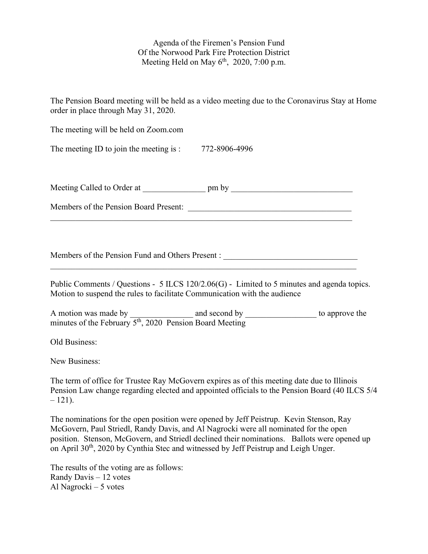Agenda of the Firemen's Pension Fund Of the Norwood Park Fire Protection District Meeting Held on May  $6<sup>th</sup>$ , 2020, 7:00 p.m.

| The Pension Board meeting will be held as a video meeting due to the Coronavirus Stay at Home<br>order in place through May 31, 2020.                                                                                                                        |
|--------------------------------------------------------------------------------------------------------------------------------------------------------------------------------------------------------------------------------------------------------------|
| The meeting will be held on Zoom.com                                                                                                                                                                                                                         |
| The meeting ID to join the meeting is : $772-8906-4996$                                                                                                                                                                                                      |
|                                                                                                                                                                                                                                                              |
|                                                                                                                                                                                                                                                              |
| Members of the Pension Fund and Others Present : ________________________________<br>Public Comments / Questions - 5 ILCS 120/2.06(G) - Limited to 5 minutes and agenda topics.<br>Motion to suspend the rules to facilitate Communication with the audience |
| A motion was made by $\frac{1}{5^{th}$ , 2020 Pension Board Meeting to approve the minutes of the February $5^{th}$ , 2020 Pension Board Meeting                                                                                                             |
| Old Business:                                                                                                                                                                                                                                                |
| New Business:                                                                                                                                                                                                                                                |
| The term of office for Trustee Ray McGovern expires as of this meeting date due to Illinois<br>Pension Law change regarding elected and appointed officials to the Pension Board (40 ILCS 5/4<br>$-121$ ).                                                   |

The nominations for the open position were opened by Jeff Peistrup. Kevin Stenson, Ray McGovern, Paul Striedl, Randy Davis, and Al Nagrocki were all nominated for the open position. Stenson, McGovern, and Striedl declined their nominations. Ballots were opened up on April 30<sup>th</sup>, 2020 by Cynthia Stec and witnessed by Jeff Peistrup and Leigh Unger.

The results of the voting are as follows: Randy Davis – 12 votes Al Nagrocki – 5 votes